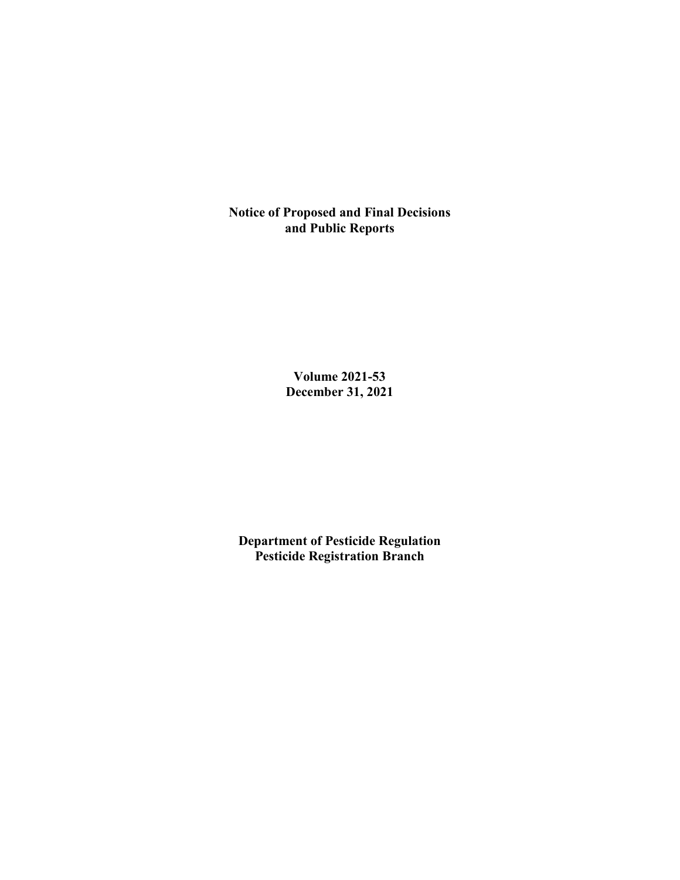**Notice of Proposed and Final Decisions and Public Reports**

> **Volume 2021-53 December 31, 2021**

**Department of Pesticide Regulation Pesticide Registration Branch**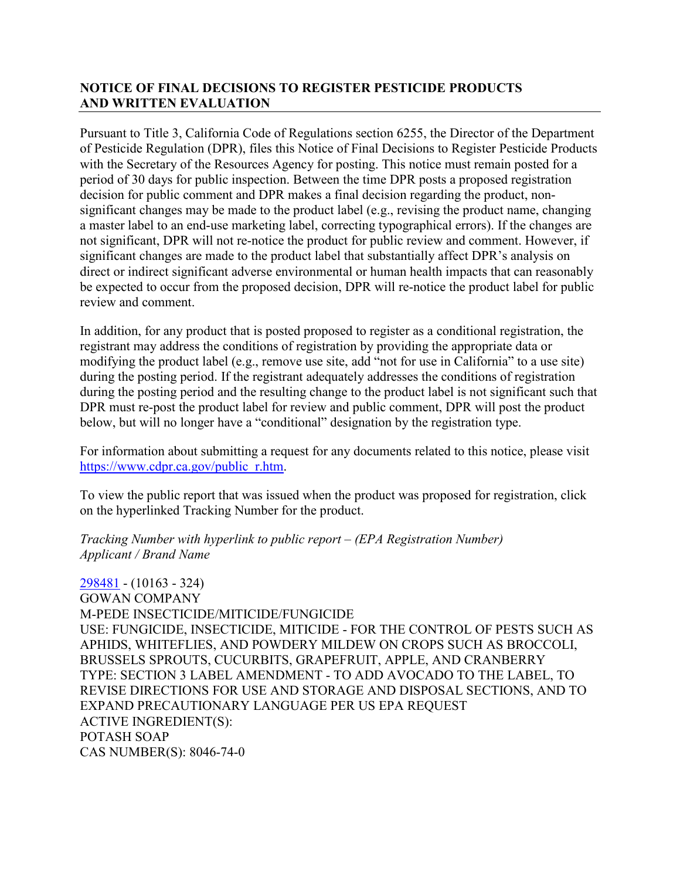## **NOTICE OF FINAL DECISIONS TO REGISTER PESTICIDE PRODUCTS AND WRITTEN EVALUATION**

Pursuant to Title 3, California Code of Regulations section 6255, the Director of the Department of Pesticide Regulation (DPR), files this Notice of Final Decisions to Register Pesticide Products with the Secretary of the Resources Agency for posting. This notice must remain posted for a period of 30 days for public inspection. Between the time DPR posts a proposed registration decision for public comment and DPR makes a final decision regarding the product, nonsignificant changes may be made to the product label (e.g., revising the product name, changing a master label to an end-use marketing label, correcting typographical errors). If the changes are not significant, DPR will not re-notice the product for public review and comment. However, if significant changes are made to the product label that substantially affect DPR's analysis on direct or indirect significant adverse environmental or human health impacts that can reasonably be expected to occur from the proposed decision, DPR will re-notice the product label for public review and comment.

In addition, for any product that is posted proposed to register as a conditional registration, the registrant may address the conditions of registration by providing the appropriate data or modifying the product label (e.g., remove use site, add "not for use in California" to a use site) during the posting period. If the registrant adequately addresses the conditions of registration during the posting period and the resulting change to the product label is not significant such that DPR must re-post the product label for review and public comment, DPR will post the product below, but will no longer have a "conditional" designation by the registration type.

For information about submitting a request for any documents related to this notice, please visit [https://www.cdpr.ca.gov/public\\_r.htm.](https://www.cdpr.ca.gov/public_r.htm)

To view the public report that was issued when the product was proposed for registration, click on the hyperlinked Tracking Number for the product.

#### *Tracking Number with hyperlink to public report – (EPA Registration Number) Applicant / Brand Name*

[298481](https://www.cdpr.ca.gov/docs/registration/nod/public_reports/298481.pdf) - (10163 - 324) GOWAN COMPANY M-PEDE INSECTICIDE/MITICIDE/FUNGICIDE USE: FUNGICIDE, INSECTICIDE, MITICIDE - FOR THE CONTROL OF PESTS SUCH AS APHIDS, WHITEFLIES, AND POWDERY MILDEW ON CROPS SUCH AS BROCCOLI, BRUSSELS SPROUTS, CUCURBITS, GRAPEFRUIT, APPLE, AND CRANBERRY TYPE: SECTION 3 LABEL AMENDMENT - TO ADD AVOCADO TO THE LABEL, TO REVISE DIRECTIONS FOR USE AND STORAGE AND DISPOSAL SECTIONS, AND TO EXPAND PRECAUTIONARY LANGUAGE PER US EPA REQUEST ACTIVE INGREDIENT(S): POTASH SOAP CAS NUMBER(S): 8046-74-0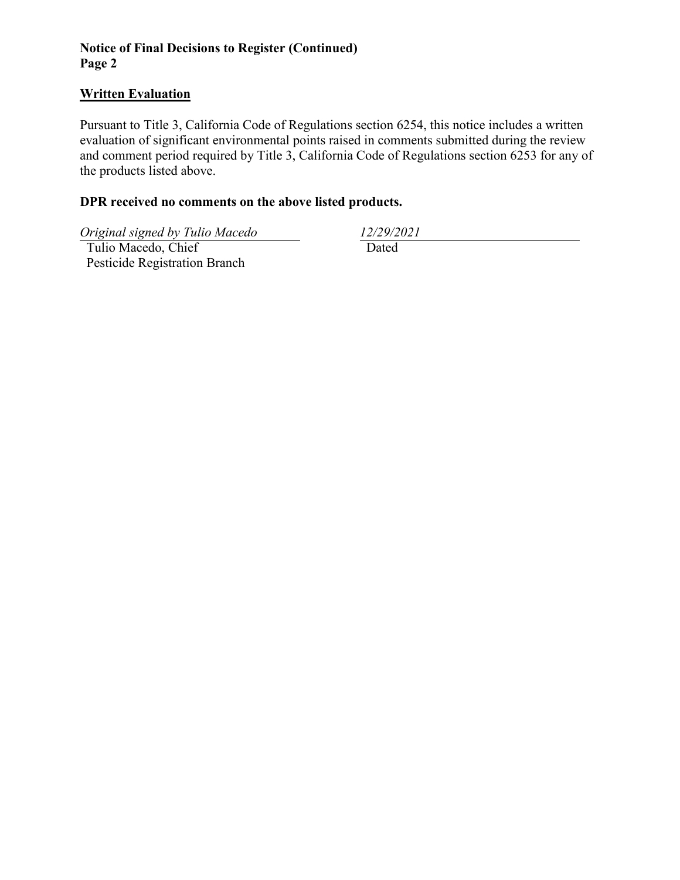## **Notice of Final Decisions to Register (Continued) Page 2**

### **Written Evaluation**

Pursuant to Title 3, California Code of Regulations section 6254, this notice includes a written evaluation of significant environmental points raised in comments submitted during the review and comment period required by Title 3, California Code of Regulations section 6253 for any of the products listed above.

### **DPR received no comments on the above listed products.**

*Original signed by Tulio Macedo 12/29/2021*

 Tulio Macedo, Chief Pesticide Registration Branch

Dated